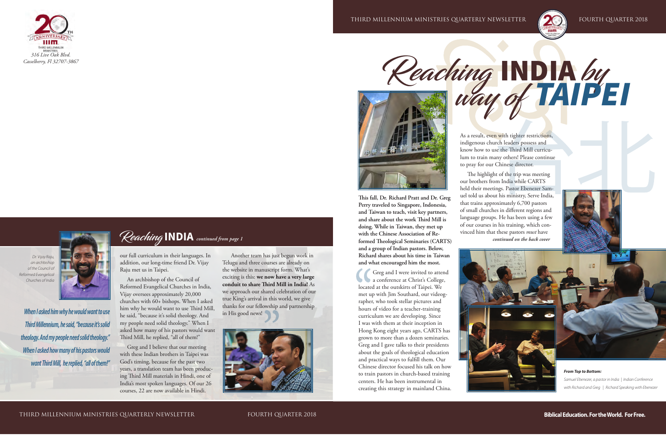Third Millennium Ministries Quarterly Newsletter Fourth Quarter 2018



# Reaching INDIA by way of *TAIPEI*

#### **Biblical Education. For the World. For Free.**

**This fall, Dr. Richard Pratt and Dr. Greg Perry traveled to Singapore, Indonesia, and Taiwan to teach, visit key partners, and share about the work Third Mill is doing. While in Taiwan, they met up with the Chinese Association of Reformed Theological Seminaries (CARTS) and a group of Indian pastors. Below, Richard shares about his time in Taiwan and what encouraged him the most.**

Greg and I were invited to attend<br>a conference at Christ's College, Greg and I were invited to attend located at the outskirts of Taipei. We met up with Jim Southard, our videographer, who took stellar pictures and hours of video for a teacher-training curriculum we are developing. Since I was with them at their inception in Hong Kong eight years ago, CARTS has grown to more than a dozen seminaries. Greg and I gave talks to their presidents about the goals of theological education and practical ways to fulfill them. Our Chinese director focused his talk on how to train pastors in church-based training centers. He has been instrumental in creating this strategy in mainland China.





As a result, even with tighter restrictions, indigenous church leaders possess and know how to use the Third Mill curriculum to train many others! Please continue to pray for our Chinese director.

The highlight of the trip was meeting our brothers from India while CARTS held their meetings. Pastor Ebenezer Samuel told us about his ministry, Serve India, that trains approximately 6,700 pastors of small churches in different regions and language groups. He has been using a few of our courses in his training, which convinced him that these pastors *must* have *continued on the back cover*













*From Top to Bottom: Samuel Ebenezer, a pastor in India | Indian Conference with Richard and Greg | Richard Speaking with Ebenezer*

*When I asked him why he would want to use* 

*Third Millennium, he said, "because it's solid* 

*theology. And my people need solid theology."* 

*When I asked how many of his pastors would* 

*want Third Mill, he replied, "all of them!"*

 *Dr. Vijay Raju, an archbishop of the Council of Reformed Evangelical Churches of India*

#### Reaching **INDIA** *continued from page 1*

our full curriculum in their languages. In addition, our long-time friend Dr. Vijay Raju met us in Taipei.

An archbishop of the Council of Reformed Evangelical Churches in India, Vijay oversees approximately 20,000 churches with 60+ bishops. When I asked him why he would want to use Third Mill, he said, "because it's solid theology. And my people need solid theology." When I asked how many of his pastors would want Third Mill, he replied, "all of them!"

Greg and I believe that our meeting with these Indian brothers in Taipei was God's timing, because for the past two years, a translation team has been producing Third Mill materials in Hindi, one of India's most spoken languages. Of our 26 courses, 22 are now available in Hindi.

 Another team has just begun work in Telugu and three courses are already on the website in manuscript form. What's exciting is this: **we now have a very large conduit to share Third Mill in India!** As we approach our shared celebration of our true King's arrival in this world, we give thanks for our fellowship and partnership in His good news!